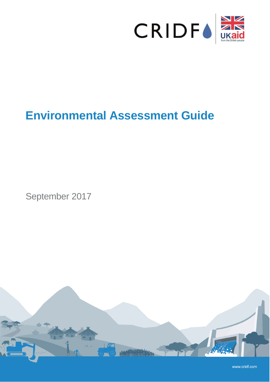

# **Environmental Assessment Guide**

September 2017



www.cridf.com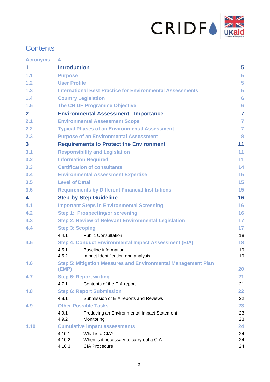

# **Contents**

| <b>Acronyms</b>         | 4                                                                             |                |
|-------------------------|-------------------------------------------------------------------------------|----------------|
| 1                       | <b>Introduction</b>                                                           | 5              |
| 1.1                     | <b>Purpose</b>                                                                | 5              |
| 1.2                     | <b>User Profile</b>                                                           | 5              |
| 1.3                     | <b>International Best Practice for Environmental Assessments</b>              | 5              |
| 1.4                     | <b>Country Legislation</b>                                                    | 6              |
| 1.5                     | <b>The CRIDF Programme Objective</b>                                          | 6              |
| $\mathbf{2}$            | <b>Environmental Assessment - Importance</b>                                  | $\overline{7}$ |
| 2.1                     | <b>Environmental Assessment Scope</b>                                         | $\overline{7}$ |
| 2.2                     | <b>Typical Phases of an Environmental Assessment</b>                          | $\overline{7}$ |
| 2.3                     | <b>Purpose of an Environmental Assessment</b>                                 | 8              |
| $\overline{\mathbf{3}}$ | <b>Requirements to Protect the Environment</b>                                | 11             |
| 3.1                     | <b>Responsibility and Legislation</b>                                         | 11             |
| 3.2                     | <b>Information Required</b>                                                   | 11             |
| 3.3                     | <b>Certification of consultants</b>                                           | 14             |
| 3.4                     | <b>Environmental Assessment Expertise</b>                                     | 15             |
| 3.5                     | <b>Level of Detail</b>                                                        | 15             |
| 3.6                     | <b>Requirements by Different Financial Institutions</b>                       | 15             |
| 4                       | <b>Step-by-Step Guideline</b>                                                 | 16             |
| 4.1                     | <b>Important Steps in Environmental Screening</b>                             | 16             |
| 4.2                     | <b>Step 1: Prospecting/or screening</b>                                       | 16             |
| 4.3                     | <b>Step 2: Review of Relevant Environmental Legislation</b>                   | 17             |
| 4.4                     | <b>Step 3: Scoping</b>                                                        | 17             |
|                         | 4.4.1<br><b>Public Consultation</b>                                           | 18             |
| 4.5                     | <b>Step 4: Conduct Environmental Impact Assessment (EIA)</b>                  | 18             |
|                         | <b>Baseline information</b><br>4.5.1                                          | 19             |
|                         | 4.5.2<br>Impact Identification and analysis                                   | 19             |
| 4.6                     | <b>Step 5: Mitigation Measures and Environmental Management Plan</b><br>(EMP) | <b>20</b>      |
| 4.7                     | <b>Step 6: Report writing</b>                                                 | 21             |
|                         | 4.7.1<br>Contents of the EIA report                                           | 21             |
| 4.8                     | <b>Step 6: Report Submission</b>                                              | 22             |
|                         | 4.8.1<br>Submission of EIA reports and Reviews                                | 22             |
| 4.9                     | <b>Other Possible Tasks</b>                                                   | 23             |
|                         | 4.9.1<br>Producing an Environmental Impact Statement                          | 23             |
|                         | 4.9.2<br>Monitoring                                                           | 23             |
| 4.10                    | <b>Cumulative impact assessments</b>                                          | 24             |
|                         | What is a CIA?<br>4.10.1                                                      | 24             |
|                         | 4.10.2<br>When is it necessary to carry out a CIA                             | 24             |
|                         | <b>CIA Procedure</b><br>4.10.3                                                | 24             |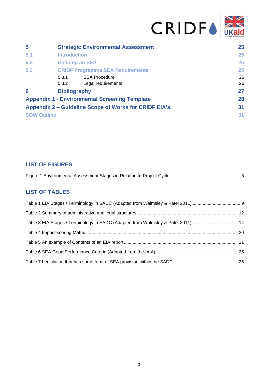| 5                  | <b>Strategic Environmental Assessment</b>              | 25 |
|--------------------|--------------------------------------------------------|----|
| 5.1                | <b>Introduction</b>                                    | 25 |
| 5.2                | <b>Defining an SEA</b>                                 | 25 |
| 5.3                | <b>CRIDF Programme SEA Requirements</b>                | 25 |
|                    | <b>SEA Procedure</b><br>5.3.1                          | 25 |
|                    | 5.3.2<br>Legal requirements                            | 26 |
| 6                  | <b>Bibliography</b>                                    | 27 |
|                    | <b>Appendix 1 - Environmental Screening Template</b>   | 28 |
|                    | Appendix 2 – Guideline Scope of Works for CRIDF EIA's. | 31 |
| <b>SOW Outline</b> |                                                        | 31 |

## **LIST OF FIGURES**

|--|--|--|

## **LIST OF TABLES**

| Table 3 EIA Stages / Terminology in SADC (Adapted from Walmsley & Patel 2011)  14 |  |
|-----------------------------------------------------------------------------------|--|
|                                                                                   |  |
|                                                                                   |  |
|                                                                                   |  |
|                                                                                   |  |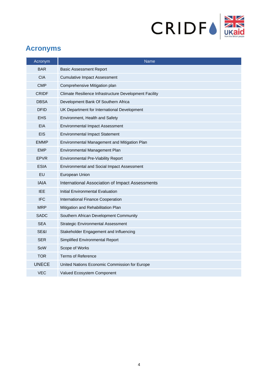

# <span id="page-3-0"></span>**Acronyms**

| Acronym      | <b>Name</b>                                            |
|--------------|--------------------------------------------------------|
| <b>BAR</b>   | <b>Basic Assessment Report</b>                         |
| <b>CIA</b>   | <b>Cumulative Impact Assessment</b>                    |
| <b>CMP</b>   | Comprehensive Mitigation plan                          |
| <b>CRIDF</b> | Climate Resilience Infrastructure Development Facility |
| <b>DBSA</b>  | Development Bank Of Southern Africa                    |
| <b>DFID</b>  | UK Department for International Development            |
| <b>EHS</b>   | Environment, Health and Safety                         |
| <b>EIA</b>   | <b>Environmental Impact Assessment</b>                 |
| <b>EIS</b>   | <b>Environmental Impact Statement</b>                  |
| <b>EMMP</b>  | Environmental Management and Mitigation Plan           |
| <b>EMP</b>   | Environmental Management Plan                          |
| <b>EPVR</b>  | <b>Environmental Pre-Viability Report</b>              |
| <b>ESIA</b>  | Environmental and Social Impact Assessment             |
| EU           | European Union                                         |
| <b>IAIA</b>  | International Association of Impact Assessments        |
| IEE.         | Initial Environmental Evaluation                       |
| <b>IFC</b>   | International Finance Cooperation                      |
| <b>MRP</b>   | Mitigation and Rehabilitation Plan                     |
| <b>SADC</b>  | Southern African Development Community                 |
| <b>SEA</b>   | <b>Strategic Environmental Assessment</b>              |
| SE&I         | Stakeholder Engagement and Influencing                 |
| <b>SER</b>   | Simplified Environmental Report                        |
| SoW          | Scope of Works                                         |
| <b>TOR</b>   | <b>Terms of Reference</b>                              |
| <b>UNECE</b> | United Nations Economic Commission for Europe          |
| VEC          | Valued Ecosystem Component                             |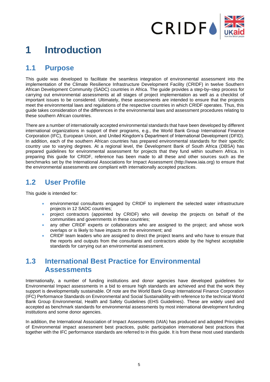

# <span id="page-4-0"></span>**1 Introduction**

## <span id="page-4-1"></span>**1.1 Purpose**

This guide was developed to facilitate the seamless integration of environmental assessment into the implementation of the Climate Resilience Infrastructure Development Facility (CRIDF) in twelve Southern African Development Community (SADC) countries in Africa. The guide provides a step-by–step process for carrying out environmental assessments at all stages of project implementation as well as a checklist of important issues to be considered. Ultimately, these assessments are intended to ensure that the projects meet the environmental laws and regulations of the respective countries in which CRIDF operates. Thus, this guide takes consideration of the differences in the environmental laws and assessment procedures relating to these southern African countries.

There are a number of internationally accepted environmental standards that have been developed by different international organizations in support of their programs, e.g., the World Bank Group International Finance Corporation (IFC), European Union, and United Kingdom's Department of International Development (DFID). In addition, each of the southern African countries has prepared environmental standards for their specific country use to varying degrees. At a regional level, the Development Bank of South Africa (DBSA) has prepared guidelines for environmental assessment for projects that they fund within southern Africa. In preparing this guide for CRIDF, reference has been made to all these and other sources such as the benchmarks set by the International Associations for Impact Assessment [\(http://www.iaia.org\)](http://www.iaia.org/) to ensure that the environmental assessments are compliant with internationally accepted practices.

## <span id="page-4-2"></span>**1.2 User Profile**

This guide is intended for:

- environmental consultants engaged by CRIDF to implement the selected water infrastructure projects in 12 SADC countries;
- project contractors (appointed by CRIDF) who will develop the projects on behalf of the communities and governments in these countries;
- any other CRIDF experts or collaborators who are assigned to the project; and whose work overlaps or is likely to have impacts on the environment; and
- CRIDF team leaders who are assigned to direct the project teams and who have to ensure that the reports and outputs from the consultants and contractors abide by the highest acceptable standards for carrying out an environmental assessment.

# <span id="page-4-3"></span>**1.3 International Best Practice for Environmental Assessments**

Internationally, a number of funding institutions and donor agencies have developed guidelines for Environmental Impact assessments in a bid to ensure high standards are achieved and that the work they support is developmentally sustainable. Of note are the World Bank Group International Finance Corporation (IFC) Performance Standards on Environmental and Social Sustainability with reference to the technical World Bank Group Environmental, Health and Safety Guidelines (EHS Guidelines). These are widely used and accepted as benchmark standards for environmental assessments by most international development funding institutions and some donor agencies.

In addition, the International Association of Impact Assessments (IAIA) has produced and adopted Principles of Environmental impact assessment best practices, public participation international best practices that together with the IFC performance standards are referred to in this guide. It is from these most used standards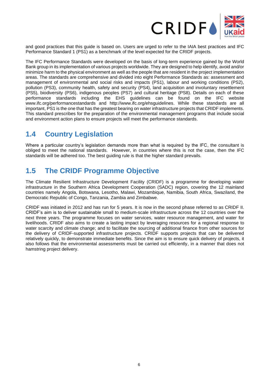

and good practices that this guide is based on. Users are urged to refer to the IAIA best practices and IFC Performance Standard 1 (PS1) as a benchmark of the level expected for the CRIDF projects.

The IFC Performance Standards were developed on the basis of long-term experience gained by the World Bank group in its implementation of various projects worldwide. They are designed to help identify, avoid and/or minimize harm to the physical environment as well as the people that are resident in the project implementation areas. The standards are comprehensive and divided into eight Performance Standards as: assessment and management of environmental and social risks and impacts (PS1), labour and working conditions (PS2), pollution (PS3), community health, safety and security (PS4), land acquisition and involuntary resettlement (PS5), biodiversity (PS6), indigenous peoples (PS7) and cultural heritage (PS8). Details on each of these performance standards including the EHS guidelines can be found on the IFC website [www.ifc.org/performancestandards](http://www.ifc.org/performancestandards) and [http://www.ifc.org/ehsguidelines.](http://www.ifc.org/ehsguidelines) While these standards are all important, PS1 is the one that has the greatest bearing on water infrastructure projects that CRIDF implements. This standard prescribes for the preparation of the environmental management programs that include social and environment action plans to ensure projects will meet the performance standards.

# <span id="page-5-0"></span>**1.4 Country Legislation**

Where a particular country's legislation demands more than what is required by the IFC, the consultant is obliged to meet the national standards. However, in countries where this is not the case, then the IFC standards will be adhered too. The best guiding rule is that the higher standard prevails.

## <span id="page-5-1"></span>**1.5 The CRIDF Programme Objective**

The Climate Resilient Infrastructure Development Facility (CRIDF) is a programme for developing water infrastructure in the Southern Africa Development Cooperation (SADC) region, covering the 12 mainland countries namely Angola, Botswana, Lesotho, Malawi, Mozambique, Namibia, South Africa, Swaziland, the Democratic Republic of Congo, Tanzania, Zambia and Zimbabwe.

CRIDF was initiated in 2012 and has run for 5 years. It is now in the second phase referred to as CRIDF II. CRIDF's aim is to deliver sustainable small to medium-scale infrastructure across the 12 countries over the next three years. The programme focuses on water services, water resource management, and water for livelihoods. CRIDF also aims to create a lasting impact by leveraging resources for a regional response to water scarcity and climate change; and to facilitate the sourcing of additional finance from other sources for the delivery of CRIDF-supported infrastructure projects. CRIDF supports projects that can be delivered relatively quickly, to demonstrate immediate benefits. Since the aim is to ensure quick delivery of projects, it also follows that the environmental assessments must be carried out efficiently, in a manner that does not hamstring project delivery.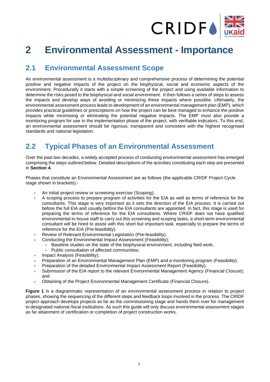

# <span id="page-6-0"></span>**2 Environmental Assessment - Importance**

# <span id="page-6-1"></span>**2.1 Environmental Assessment Scope**

An environmental assessment is a multidisciplinary and comprehensive process of determining the potential positive and negative impacts of the project on the biophysical, social and economic aspects of the environment. Procedurally it starts with a simple screening of the project and using available information to determine the risks posed to the biophysical and social environment. It then follows a series of steps to assess the impacts and develop ways of avoiding or minimizing these impacts where possible. Ultimately, the environmental assessment process leads to development of an environmental management plan (EMP), which provides practical guidelines or prescriptions on how the project can be best managed to enhance the positive impacts while minimising or eliminating the potential negative impacts. The EMP must also provide a monitoring program for use in the implementation phase of the project, with verifiable indicators. To this end, an environmental assessment should be rigorous, transparent and consistent with the highest recognised standards and national legislation.

# <span id="page-6-2"></span>**2.2 Typical Phases of an Environmental Assessment**

Over the past two decades, a widely accepted process of conducting environmental assessment has emerged comprising the steps outlined below. Detailed descriptions of the activities constituting each step are presented in **Section 4**.

Phases that constitute an Environmental Assessment are as follows (the applicable CRIDF Project Cycle stage shown in brackets):-

- An initial project review or screening exercise (Scoping);
- A scoping process to prepare program of activities for the EIA as well as terms of reference for the consultants. This stage is very important as it sets the direction of the EIA process. It is carried out before the full EIA and usually before the EIA consultants are appointed. In fact, this stage is used for preparing the terms of reference for the EIA consultants. Where CRIDF does not have qualified environmental in-house staff to carry out this screening and scoping tasks, a short-term environmental consultant will be hired to assist with this short but important task, especially to prepare the terms of reference for the EIA (Pre-feasibility).
- Review of Relevant Environmental Legislation (Pre-feasibility).
	- Conducting the Environmental Impact Assessment (Feasibility);
		- Baseline studies on the state of the biophysical environment, including field work;
		- Public consultation of affected communities;
- Impact Analysis (Feasibility);
- Preparation of an Environmental Management Plan (EMP) and a monitoring program (Feasibility).
- Preparation of the detailed Environmental Impact Assessment Report (Feasibility);
- Submission of the EIA report to the relevant Environmental Management Agency (Financial Closure); and
- Obtaining of the Project Environmental Management Certificate (Financial Closure).

**Figure 1** is a diagrammatic representation of an environmental assessment process in relation to project phases, showing the sequencing of the different steps and feedback loops involved in the process. The CRIDF project approach develops projects as far as the commissioning stage and hands them over for management to designated national /local institutions. As such this guide will only discuss environmental assessment stages as far attainment of certification or completion of project construction works.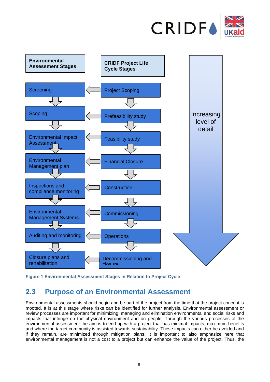



<span id="page-7-1"></span><span id="page-7-0"></span>**Figure 1 Environmental Assessment Stages in Relation to Project Cycle**

# **2.3 Purpose of an Environmental Assessment**

Environmental assessments should begin and be part of the project from the time that the project concept is mooted. It is at this stage where risks can be identified for further analysis. Environmental assessment or review processes are important for minimizing, managing and elimination environmental and social risks and impacts that infringe on the physical environment and on people. Through the various processes of the environmental assessment the aim is to end up with a project that has minimal impacts, maximum benefits and where the target community is assisted towards sustainability. These impacts can either be avoided and if they remain, are minimized through mitigation plans. It is important to also emphasize here that environmental management is not a cost to a project but can enhance the value of the project. Thus, the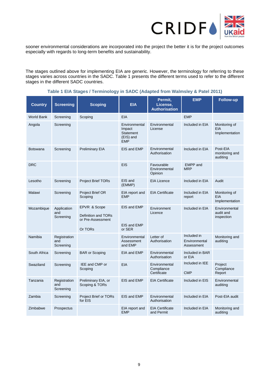

sooner environmental considerations are incorporated into the project the better it is for the project outcomes especially with regards to long-term benefits and sustainability.

The stages outlined above for implementing EIA are generic. However, the terminology for referring to these stages varies across countries in the SADC. Table 1 presents the different terms used to refer to the different stages in the different SADC countries.

<span id="page-8-0"></span>

| <b>Country</b>    | <b>Screening</b>                 | <b>Scoping</b>                                                      | <b>EIA</b>                                                      | Permit,<br>License,<br><b>Authorisation</b> | <b>EMP</b>                                 | <b>Follow-up</b>                         |
|-------------------|----------------------------------|---------------------------------------------------------------------|-----------------------------------------------------------------|---------------------------------------------|--------------------------------------------|------------------------------------------|
| <b>World Bank</b> | Screening                        | Scoping                                                             | <b>EIA</b>                                                      |                                             | <b>EMP</b>                                 |                                          |
| Angola            | Screening                        |                                                                     | Environmental<br>Impact<br>Statement<br>(EIS) and<br><b>EMP</b> | Environmental<br>License                    | Included in EIA                            | Monitoring of<br>EIA<br>Implementation   |
| <b>Botswana</b>   | Screening                        | <b>Preliminary EIA</b>                                              | EIS and EMP                                                     | Environmental<br>Authorisation              | Included in EIA                            | Post-EIA<br>monitoring and<br>auditing   |
| <b>DRC</b>        |                                  |                                                                     | <b>EIS</b>                                                      | Favourable<br>Environmental<br>Opinion      | <b>EMPP</b> and<br><b>MRP</b>              |                                          |
| Lesotho           | Screening                        | <b>Project Brief TORs</b>                                           | EIS and<br>(EMMP)                                               | <b>EIA Licence</b>                          | Included in EIA                            | Audit                                    |
| Malawi            | Screening                        | Project Brief OR<br>Scoping                                         | EIA report and<br><b>EMP</b>                                    | <b>EIA Certificate</b>                      | Included in EIA<br>report                  | Monitoring of<br>EIA<br>Implementation   |
| Mozambique        | Application<br>and<br>Screening  | EPVR & Scope<br>Definition and TORs<br>or Pre-Assessment<br>Or TORs | EIS and EMP<br>EIS and EMP<br>or SER                            | Environment<br>Licence                      | Included in EIA                            | Environmental<br>audit and<br>inspection |
| Namibia           | Registration<br>and<br>Screening |                                                                     | Environmental<br>Assessment<br>and EMP                          | Letter of<br>Authorisation                  | Included in<br>Environmental<br>Assessment | Monitoring and<br>auditing               |
| South Africa      | Screening                        | <b>BAR or Scoping</b>                                               | EIA and EMP                                                     | Environmental<br>Authorisation              | Included in BAR<br>or EIA                  |                                          |
| Swaziland         | Screening                        | <b>IEE and CMP or</b><br>Scoping                                    | EIA                                                             | Environmental<br>Compliance<br>Certificate  | Included in IEE<br><b>CMP</b>              | Project<br>Compliance<br>Report          |
| Tanzania          | Registration<br>and<br>Screening | Preliminary EIA, or<br>Scoping & TORs                               | EIS and EMP                                                     | <b>EIA Certificate</b>                      | Included in EIS                            | Environmental<br>auditing                |
| Zambia            | Screening                        | <b>Project Brief or TORs</b><br>for EIS                             | EIS and EMP                                                     | Environmental<br>Authorisation              | Included in EIA                            | Post-EIA audit                           |
| Zimbabwe          | Prospectus                       |                                                                     | EIA report and<br><b>EMP</b>                                    | <b>EIA Certificate</b><br>and Permit        | Included in EIA                            | Monitoring and<br>auditing               |

### **Table 1 EIA Stages / Terminology in SADC (Adapted from Walmsley & Patel 2011)**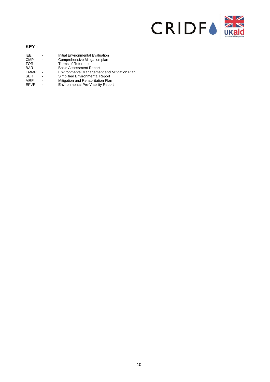

#### **KEY :**

| IFF.        | Initial Environmental Evaluation             |
|-------------|----------------------------------------------|
| <b>CMP</b>  | Comprehensive Mitigation plan                |
| <b>TOR</b>  | <b>Terms of Reference</b>                    |
| <b>BAR</b>  | <b>Basic Assessment Report</b>               |
| <b>EMMP</b> | Environmental Management and Mitigation Plan |
| <b>SER</b>  | Simplified Environmental Report              |
| <b>MRP</b>  | Mitigation and Rehabilitation Plan           |
| <b>EPVR</b> | Environmental Pre-Viability Report           |
|             |                                              |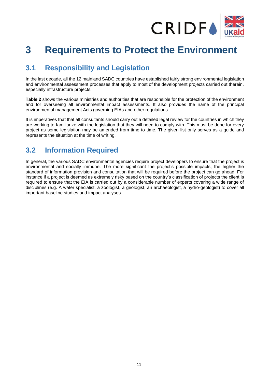

# <span id="page-10-0"></span>**3 Requirements to Protect the Environment**

# <span id="page-10-1"></span>**3.1 Responsibility and Legislation**

In the last decade, all the 12 mainland SADC countries have established fairly strong environmental legislation and environmental assessment processes that apply to most of the development projects carried out therein, especially infrastructure projects.

**Table 2** shows the various ministries and authorities that are responsible for the protection of the environment and for overseeing all environmental impact assessments. It also provides the name of the principal environmental management Acts governing EIAs and other regulations.

It is imperatives that that all consultants should carry out a detailed legal review for the countries in which they are working to familiarize with the legislation that they will need to comply with. This must be done for every project as some legislation may be amended from time to time. The given list only serves as a guide and represents the situation at the time of writing.

## <span id="page-10-2"></span>**3.2 Information Required**

In general, the various SADC environmental agencies require project developers to ensure that the project is environmental and socially immune. The more significant the project's possible impacts, the higher the standard of information provision and consultation that will be required before the project can go ahead. For instance if a project is deemed as extremely risky based on the country's classification of projects the client is required to ensure that the EIA is carried out by a considerable number of experts covering a wide range of disciplines (e.g. A water specialist, a zoologist, a geologist, an archaeologist, a hydro-geologist) to cover all important baseline studies and impact analyses.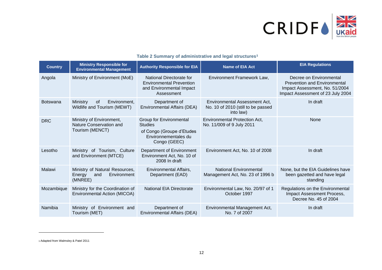

## **Table 2 Summary of administrative and legal structures<sup>1</sup>**

| <b>Country</b>  | <b>Ministry Responsible for</b><br><b>Environmental Management</b>        | <b>Authority Responsible for EIA</b><br><b>Name of EIA Act</b>                                                 |                                                                                  | <b>EIA Regulations</b>                                                                                                                |
|-----------------|---------------------------------------------------------------------------|----------------------------------------------------------------------------------------------------------------|----------------------------------------------------------------------------------|---------------------------------------------------------------------------------------------------------------------------------------|
| Angola          | Ministry of Environment (MoE)                                             | National Directorate for<br><b>Environmental Prevention</b><br>and Environmental Impact<br>Assessment          | Environment Framework Law,                                                       | Decree on Environmental<br><b>Prevention and Environmental</b><br>Impact Assessment, No. 51/2004<br>Impact Assessment of 23 July 2004 |
| <b>Botswana</b> | Ministry<br>of<br>Environment,<br>Wildlife and Tourism (MEWT)             | Department of<br>Environmental Affairs (DEA)                                                                   | Environmental Assessment Act.<br>No. 10 of 2010 (still to be passed<br>into law) | In draft                                                                                                                              |
| <b>DRC</b>      | Ministry of Environment,<br>Nature Conservation and<br>Tourism (MENCT)    | Group for Environmental<br><b>Studies</b><br>of Congo (Groupe d'Etudes<br>Environnementales du<br>Congo (GEEC) | <b>Environmental Protection Act.</b><br>No. 11/009 of 9 July 2011                | None                                                                                                                                  |
| Lesotho         | Ministry of Tourism, Culture<br>and Environment (MTCE)                    | Department of Environment<br>Environment Act, No. 10 of<br>2008 In draft                                       | Environment Act, No. 10 of 2008                                                  | In draft                                                                                                                              |
| Malawi          | Ministry of Natural Resources,<br>Environment<br>Energy<br>and<br>(MNREE) | Environmental Affairs,<br>Department (EAD)                                                                     | <b>National Environmental</b><br>Management Act, No. 23 of 1996 b                | None, but the EIA Guidelines have<br>been gazetted and have legal<br>standing                                                         |
| Mozambique      | Ministry for the Coordination of<br>Environmental Action (MICOA)          | <b>National EIA Directorate</b>                                                                                | Environmental Law, No. 20/97 of 1<br>October 1997                                | Regulations on the Environmental<br>Impact Assessment Process,<br>Decree No. 45 of 2004                                               |
| Namibia         | Ministry of Environment and<br>Tourism (MET)                              | Department of<br>Environmental Affairs (DEA)                                                                   | Environmental Management Act,<br>No. 7 of 2007                                   | In draft                                                                                                                              |

<span id="page-11-0"></span><sup>1</sup> Adapted from Walmsley & Patel 2011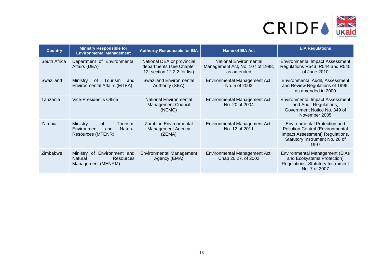

| <b>Country</b> | <b>Ministry Responsible for</b><br><b>Environmental Management</b>                             | <b>Authority Responsible for EIA</b><br><b>Name of EIA Act</b>                         |                                                                                 | <b>EIA Regulations</b>                                                                                                                                      |  |
|----------------|------------------------------------------------------------------------------------------------|----------------------------------------------------------------------------------------|---------------------------------------------------------------------------------|-------------------------------------------------------------------------------------------------------------------------------------------------------------|--|
| South Africa   | Department of Environmental<br>Affairs (DEA)                                                   | National DEA or provincial<br>departments (see Chapter<br>12, section 12.2.2 for list) | <b>National Environmental</b><br>Management Act, No. 107 of 1998,<br>as amended | <b>Environmental Impact Assessment</b><br>Regulations R543, R544 and R545<br>of June 2010                                                                   |  |
| Swaziland      | Ministry<br>0f<br>Tourism<br>and<br>Environmental Affairs (MTEA)                               | Swaziland Environmental<br>Authority (SEA)                                             | Environmental Management Act,<br>No. 5 of 2002                                  | Environmental Audit, Assessment<br>and Review Regulations of 1996,<br>as amended in 2000                                                                    |  |
| Tanzania       | Vice-President's Office                                                                        | <b>National Environmental</b><br><b>Management Council</b><br>(NEMC)                   | Environmental Management Act,<br>No. 20 of 2004                                 | <b>Environmental Impact Assessment</b><br>and Audit Regulations,<br>Government Notice No. 349 of<br>November 2005                                           |  |
| Zambia         | <b>of</b><br><b>Ministry</b><br>Tourism,<br>Environment<br>Natural<br>and<br>Resources (MTENR) | <b>Zambian Environmental</b><br><b>Management Agency</b><br>(ZEMA)                     | Environmental Management Act,<br>No. 12 of 2011                                 | <b>Environmental Protection and</b><br><b>Pollution Control (Environmental</b><br>Impact Assessment) Regulations,<br>Statutory Instrument No. 28 of<br>1997 |  |
| Zimbabwe       | Environment and<br>Ministry<br>of<br>Resources<br>Natural<br>Management (MENRM)                | <b>Environmental Management</b><br>Agency (EMA)                                        | Environmental Management Act,<br>Chap 20:27, of 2002                            | <b>Environmental Management (EIAs</b><br>and Ecosystems Protection)<br>Regulations, Statutory Instrument<br>No. 7 of 2007                                   |  |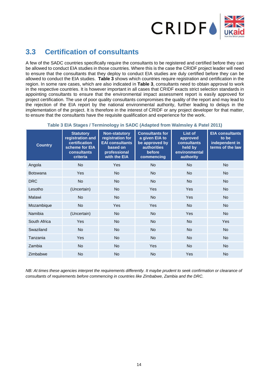

# <span id="page-13-0"></span>**3.3 Certification of consultants**

A few of the SADC countries specifically require the consultants to be registered and certified before they can be allowed to conduct EIA studies in those countries. Where this is the case the CRIDF project leader will need to ensure that the consultants that they deploy to conduct EIA studies are duly certified before they can be allowed to conduct the EIA studies. **Table 3** shows which countries require registration and certification in the region. In some rare cases, which are also indicated in **Table 3**, consultants need to obtain approval to work in the respective countries. It is however important in all cases that CRIDF exacts strict selection standards in appointing consultants to ensure that the environmental impact assessment report is easily approved for project certification. The use of poor quality consultants compromises the quality of the report and may lead to the rejection of the EIA report by the national environmental authority, further leading to delays in the implementation of the project. It is therefore in the interest of CRIDF or any project developer for that matter, to ensure that the consultants have the requisite qualification and experience for the work.

<span id="page-13-1"></span>

| <b>Country</b>  | <b>Statutory</b><br>registration and<br>certification<br>scheme for EIA<br><b>consultants</b><br>criteria | <b>Non-statutory</b><br>registration for<br><b>EAI consultants</b><br>based on<br>professional<br>with the EIA | <b>Consultants for</b><br>a given EIA to<br>be approved by<br><b>authorities</b><br>before<br>commencing | List of<br>approved<br>consultants<br>held by<br>environmental<br>authority | <b>EIA consultants</b><br>to be<br>independent in<br>terms of the law |
|-----------------|-----------------------------------------------------------------------------------------------------------|----------------------------------------------------------------------------------------------------------------|----------------------------------------------------------------------------------------------------------|-----------------------------------------------------------------------------|-----------------------------------------------------------------------|
| Angola          | <b>No</b>                                                                                                 | Yes                                                                                                            | <b>No</b>                                                                                                | <b>No</b>                                                                   | <b>No</b>                                                             |
| <b>Botswana</b> | Yes                                                                                                       | <b>No</b>                                                                                                      | <b>No</b>                                                                                                | <b>No</b>                                                                   | <b>No</b>                                                             |
| <b>DRC</b>      | <b>No</b>                                                                                                 | <b>No</b>                                                                                                      | <b>No</b>                                                                                                | <b>No</b>                                                                   | <b>No</b>                                                             |
| Lesotho         | (Uncertain)                                                                                               | <b>No</b>                                                                                                      | Yes                                                                                                      | Yes                                                                         | <b>No</b>                                                             |
| Malawi          | <b>No</b>                                                                                                 | <b>No</b>                                                                                                      | <b>No</b>                                                                                                | Yes                                                                         | <b>No</b>                                                             |
| Mozambique      | <b>No</b>                                                                                                 | Yes                                                                                                            | Yes                                                                                                      | <b>No</b>                                                                   | <b>No</b>                                                             |
| Namibia         | (Uncertain)                                                                                               | <b>No</b>                                                                                                      | <b>No</b>                                                                                                | Yes                                                                         | <b>No</b>                                                             |
| South Africa    | Yes                                                                                                       | <b>No</b>                                                                                                      | <b>No</b>                                                                                                | <b>No</b>                                                                   | Yes                                                                   |
| Swaziland       | <b>No</b>                                                                                                 | <b>No</b>                                                                                                      | <b>No</b>                                                                                                | <b>No</b>                                                                   | <b>No</b>                                                             |
| Tanzania        | Yes                                                                                                       | <b>No</b>                                                                                                      | <b>No</b>                                                                                                | <b>No</b>                                                                   | <b>No</b>                                                             |
| Zambia          | <b>No</b>                                                                                                 | <b>No</b>                                                                                                      | Yes                                                                                                      | <b>No</b>                                                                   | <b>No</b>                                                             |
| Zimbabwe        | <b>No</b>                                                                                                 | <b>No</b>                                                                                                      | <b>No</b>                                                                                                | Yes                                                                         | <b>No</b>                                                             |

### **Table 3 EIA Stages / Terminology in SADC (Adapted from Walmsley & Patel 2011)**

*NB: At times these agencies interpret the requirements differently. It maybe prudent to seek confirmation or clearance of consultants of requirements before commencing in countries like Zimbabwe, Zambia and the DRC.*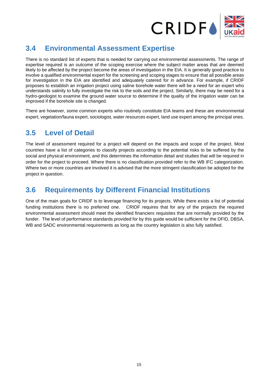

# <span id="page-14-0"></span>**3.4 Environmental Assessment Expertise**

There is no standard list of experts that is needed for carrying out environmental assessments. The range of expertise required is an outcome of the scoping exercise where the subject matter areas that are deemed likely to be affected by the project become the areas of investigation in the EIA. It is generally good practice to involve a qualified environmental expert for the screening and scoping stages to ensure that all possible areas for investigation in the EIA are identified and adequately catered for in advance. For example, if CRIDF proposes to establish an irrigation project using saline borehole water there will be a need for an expert who understands salinity to fully investigate the risk to the soils and the project. Similarly, there may be need for a hydro-geologist to examine the ground water source to determine if the quality of the irrigation water can be improved if the borehole site is changed.

There are however, some common experts who routinely constitute EIA teams and these are environmental expert, vegetation/fauna expert, sociologist, water resources expert, land use expert among the principal ones.

# <span id="page-14-1"></span>**3.5 Level of Detail**

The level of assessment required for a project will depend on the impacts and scope of the project. Most countries have a list of categories to classify projects according to the potential risks to be suffered by the social and physical environment, and this determines the information detail and studies that will be required in order for the project to proceed. Where there is no classification provided refer to the WB IFC categorization. Where two or more countries are involved it is advised that the more stringent classification be adopted for the project in question.

## <span id="page-14-2"></span>**3.6 Requirements by Different Financial Institutions**

One of the main goals for CRIDF is to leverage financing for its projects. While there exists a list of potential funding institutions there is no preferred one. CRIDF requires that for any of the projects the required environmental assessment should meet the identified financiers requisites that are normally provided by the funder. The level of performance standards provided for by this guide would be sufficient for the DFID, DBSA, WB and SADC environmental requirements as long as the country legislation is also fully satisfied.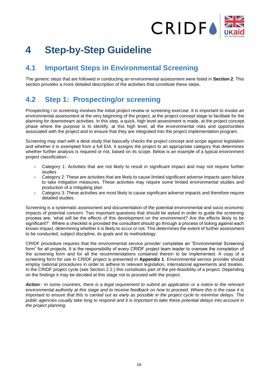

# <span id="page-15-0"></span>**4 Step-by-Step Guideline**

# <span id="page-15-1"></span>**4.1 Important Steps in Environmental Screening**

The generic steps that are followed in conducting an environmental assessment were listed in **Section 2**. This section provides a more detailed description of the activities that constitute these steps.

# <span id="page-15-2"></span>**4.2 Step 1: Prospecting/or screening**

Prospecting / or screening involves the initial project review or screening exercise. It is important to invoke an environmental assessment at the very beginning of the project, at the project concept stage to facilitate for the planning for downstream activities. In this step, a quick, high level assessment is made, at the project concept phase where the purpose is to identify, at this high level, all the environmental risks and opportunities associated with the project and to ensure that they are integrated into the project implementation program.

Screening may start with a desk study that basically checks the project concept and scope against legislation and whether it is exempted from a full EIA. It assigns the project to an appropriate category that determines whether further analysis is required or not, based on its scope. Below is an example of a typical environment project classification:-

- Category 1: Activities that are not likely to result in significant impact and may not require further studies
- Category 2: These are activities that are likely to cause limited significant adverse impacts upon failure to take mitigation measures. These activities may require some limited environmental studies and production of a mitigating plan
- Category 3: These activities are most likely to cause significant adverse impacts and therefore require detailed studies.

Screening is a systematic assessment and documentation of the potential environmental and socio economic impacts of potential concern. Two important questions that should be asked in order to guide the screening process are; 'what will be the effects of this development on the environment? Are the effects likely to be significant?'. Where a checklist is provided the consultant should go through a process of ticking against each known impact, determining whether it is likely to occur or not. This determines the extent of further assessment to be conducted, subject discipline, its goals and its methodology.

CRIDF procedure requires that the environmental service provider completes an "Environmental Screening form" for all projects. It is the responsibility of every CRIDF project team leader to oversee the completion of the screening form and for all the recommendations contained therein to be implemented. A copy of a screening form for use in CRIDF project is presented in **Appendix 1**. Environmental service provider should employ national procedures in order to adhere to relevant legislation, international agreements and treaties. In the CRIDF project cycle (see Section 2.2.) this constitutes part of the pre-feasibility of a project. Depending on the findings it may be decided at this stage not to proceed with the project.

*Action:- In some countries, there is a legal requirement to submit an application or a notice to the relevant environmental authority at this stage and to receive feedback on how to proceed. Where this is the case it is important to ensure that this is carried out as early as possible in the project cycle to minimise delays. The public agencies usually take long to respond and it is important to take these potential delays into account in the project planning.*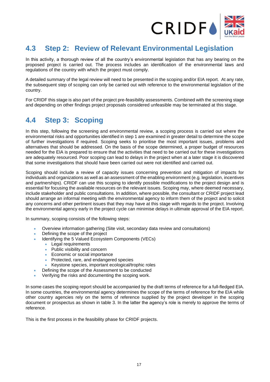

# <span id="page-16-0"></span>**4.3 Step 2: Review of Relevant Environmental Legislation**

In this activity, a thorough review of all the country's environmental legislation that has any bearing on the proposed project is carried out. The process includes an identification of the environmental laws and regulations of the country with which the project must comply.

A detailed summary of the legal review will need to be presented in the scoping and/or EIA report. At any rate, the subsequent step of scoping can only be carried out with reference to the environmental legislation of the country.

For CRIDF this stage is also part of the project pre-feasibility assessments. Combined with the screening stage and depending on other findings project proposals considered unfeasible may be terminated at this stage.

# <span id="page-16-1"></span>**4.4 Step 3: Scoping**

In this step, following the screening and environmental review, a scoping process is carried out where the environmental risks and opportunities identified in step 1 are examined in greater detail to determine the scope of further investigations if required. Scoping seeks to prioritise the most important issues, problems and alternatives that should be addressed. On the basis of the scope determined, a proper budget of resources needed for the EIA is prepared to ensure that the activities that need to be carried out for these investigations are adequately resourced. Poor scoping can lead to delays in the project when at a later stage it is discovered that some investigations that should have been carried out were not identified and carried out.

Scoping should include a review of capacity issues concerning prevention and mitigation of impacts for individuals and organizations as well as an assessment of the enabling environment (e.g. legislation, incentives and partnerships). CRIDF can use this scoping to identify possible modifications to the project design and is essential for focusing the available resources on the relevant issues. Scoping may, where deemed necessary, include stakeholder and public consultations. In addition, where possible, the consultant or CRIDF project lead should arrange an informal meeting with the environmental agency to inform them of the project and to solicit any concerns and other pertinent issues that they may have at this stage with regards to the project. Involving the environmental agency early in the project cycle can minimise delays in ultimate approval of the EIA report.

In summary, scoping consists of the following steps:

- Overview information gathering (Site visit, secondary data review and consultations)
- Defining the scope of the project
- Identifying the 5 Valued Ecosystem Components (VECs)
	- Legal requirements
	- Public visibility and concern
	- Economic or social importance
	- Protected, rare, and endangered species
	- Keystone species, important ecological/trophic roles
- Defining the scope of the Assessment to be conducted
- Verifying the risks and documenting the scoping work.

In some cases the scoping report should be accompanied by the draft terms of reference for a full-fledged EIA. In some countries, the environmental agency determines the scope of the terms of reference for the EIA while other country agencies rely on the terms of reference supplied by the project developer in the scoping document or prospectus as shown in table 3. In the latter the agency's role is merely to approve the terms of reference.

This is the first process in the feasibility phase for CRIDF projects.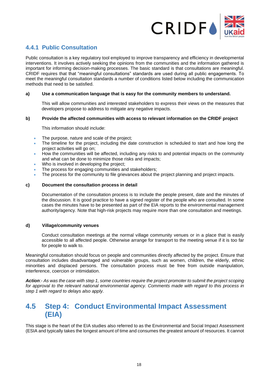

## <span id="page-17-0"></span>**4.4.1 Public Consultation**

Public consultation is a key regulatory tool employed to improve transparency and efficiency in developmental interventions. It involves actively seeking the opinions from the communities and the information gathered is important for informing decision-making processes. The basic standard is that consultations are meaningful. CRIDF requires that that "meaningful consultations" standards are used during all public engagements. To meet the meaningful consultation standards a number of conditions listed below including the communication methods that need to be satisfied.

### **a) Use a communication language that is easy for the community members to understand.**

This will allow communities and interested stakeholders to express their views on the measures that developers propose to address to mitigate any negative impacts.

#### **b) Provide the affected communities with access to relevant information on the CRIDF project**

This information should include:

- The purpose, nature and scale of the project;
- The timeline for the project, including the date construction is scheduled to start and how long the project activities will go on;
- How the communities will be affected, including any risks to and potential impacts on the community and what can be done to minimize those risks and impacts;
- Who is involved in developing the project;
- The process for engaging communities and stakeholders;
- The process for the community to file grievances about the project planning and project impacts.

#### **c) Document the consultation process in detail**

Documentation of the consultation process is to include the people present, date and the minutes of the discussion. It is good practice to have a signed register of the people who are consulted. In some cases the minutes have to be presented as part of the EIA reports to the environmental management authority/agency. Note that high-risk projects may require more than one consultation and meetings.

#### **d) Village/community venues**

Conduct consultation meetings at the normal village community venues or in a place that is easily accessible to all affected people. Otherwise arrange for transport to the meeting venue if it is too far for people to walk to.

Meaningful consultation should focus on people and communities directly affected by the project. Ensure that consultation includes disadvantaged and vulnerable groups, such as women, children, the elderly, ethnic minorities and displaced persons. The consultation process must be free from outside manipulation, interference, coercion or intimidation.

*Action*:- *As was the case with step 1, some countries require the project promoter to submit the project scoping for approval to the relevant national environmental agency. Comments made with regard to this process in step 1 with regard to delays also apply.* 

## <span id="page-17-1"></span>**4.5 Step 4: Conduct Environmental Impact Assessment (EIA)**

This stage is the heart of the EIA studies also referred to as the Environmental and Social Impact Assessment (ESIA and typically takes the longest amount of time and consumes the greatest amount of resources. It cannot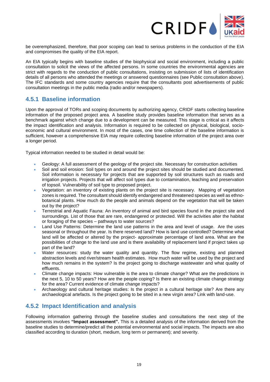

be overemphasized, therefore, that poor scoping can lead to serious problems in the conduction of the EIA and compromises the quality of the EIA report.

An EIA typically begins with baseline studies of the biophysical and social environment, including a public consultation to solicit the views of the affected persons. In some countries the environmental agencies are strict with regards to the conduction of public consultations, insisting on submission of lists of identification details of all persons who attended the meetings or answered questionnaires (see Public consultation above). The IFC standards and some country agencies require that the consultants post advertisements of public consultation meetings in the public media (radio and/or newspapers).

## <span id="page-18-0"></span>**4.5.1 Baseline information**

Upon the approval of TORs and scoping documents by authorizing agency, CRIDF starts collecting baseline information of the proposed project area. A baseline study provides baseline information that serves as a benchmark against which change due to a development can be measured. This stage is critical as it affects the impact identification and analysis. Information is required to be collected on physical, biological, socioeconomic and cultural environment. In most of the cases, one time collection of the baseline information is sufficient, however a comprehensive EIA may require collecting baseline information of the project area over a longer period.

Typical information needed to be studied in detail would be:

- Geology: A full assessment of the geology of the project site. Necessary for construction activities
- Soil and soil erosion: Soil types on and around the project sites should be studied and documented. Soil information is necessary for projects that are supported by soil structures such as roads and irrigation projects. Projects that will affect soil types due to contamination, leaching and preservation of topsoil. Vulnerability of soil type to proposed project.
- Vegetation: an inventory of existing plants on the project site is necessary. Mapping of vegetation zones is required. The consultant should identify endangered and threatened species as well as ethnobotanical plants. How much do the people and animals depend on the vegetation that will be taken out by the project?
- Terrestrial and Aquatic Fauna: An inventory of animal and bird species found in the project site and surroundings. List of those that are rare, endangered or protected. Will the activities alter the habitat or foraging of the species – pathways to water sources?
- Land Use Patterns: Determine the land use patterns in the area and level of usage. Are the uses seasonal or throughout the year. Is there reserved land? How is land use controlled? Determine what land will be affected or altered by the project- approximate percentage of land area. What are the possibilities of change to the land use and is there availability of replacement land if project takes up part of the land?
- Water resources: study the water quality and quantity. The flow regime, existing and planned abstraction levels and river/stream health estimates. How much water will be used by the project and how much remains in the system? Is the project going to discharge wastewater and what quality of effluents.
- Climate change impacts: How vulnerable is the area to climate change? What are the predictions in the next 5, 10 to 50 years? How are the people coping? Is there an existing climate change strategy for the area? Current evidence of climate change impacts?
- Archaeology and cultural heritage studies: Is the project in a cultural heritage site? Are there any archaeological artefacts. Is the project going to be sited in a new virgin area? Link with land-use.

## <span id="page-18-1"></span>**4.5.2 Impact Identification and analysis**

Following information gathering through the baseline studies and consultations the next step of the assessments involves **"Impact assessment".** This is a detailed analysis of the information derived from the baseline studies to determine/predict all the potential environmental and social impacts. The impacts are also classified according to duration (short, medium, long term or permanent); and severity.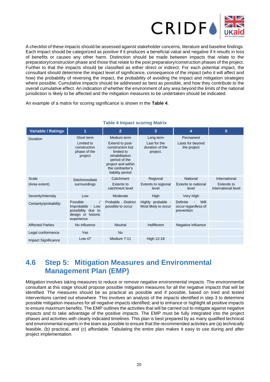

A checklist of these impacts should be assessed against stakeholder concerns, literature and baseline findings. Each impact should be categorized as positive if it produces a beneficial value and negative if it results in loss of benefits or causes any other harm. Distinction should be made between impacts that relate to the preparatory/construction phase and those that relate to the post preparatory/construction phases of the project. Further to that the impacts should be classified as either direct or indirect. For each potential impact, the consultant should determine the impact level of significance, consequence of the impact (who it will affect and how) the probability of reversing the impact, the probability of avoiding the impact and mitigation strategies where possible. Cumulative impacts should be addressed as best as possible, and how they contribute to the overall cumulative effect. An indication of whether the environment of any area beyond the limits of the national jurisdiction is likely to be affected and the mitigation measures to be undertaken should be indicated.

An example of a matrix for scoring significance is shown in the **Table 4**.

<span id="page-19-1"></span>

| <b>Variable / Ratings</b>  | 1                                                                                      | $\overline{2}$                                                                                                                                                    | 3                                                        | 4                                                     | 5                                                  |
|----------------------------|----------------------------------------------------------------------------------------|-------------------------------------------------------------------------------------------------------------------------------------------------------------------|----------------------------------------------------------|-------------------------------------------------------|----------------------------------------------------|
| Duration                   | Short term<br>Limited to<br>construction<br>phase of the<br>project                    | Medium term<br>Extend to post-<br>construction but<br>limited to<br>rehabilitation<br>period of the<br>project and within<br>the contractor's<br>liability period | Long term<br>Last for the<br>duration of the<br>project. | Permanent<br>Lasts for beyond<br>the project          |                                                    |
| Scale<br>(Area extent)     | Site/immediate<br>surroundings                                                         | Catchment<br>Extents to<br>catchment level                                                                                                                        | Regional<br>Extents to regional<br>level                 | National<br>Extents to national<br>level              | International<br>Extends to<br>international level |
| Severity/Intensity         | Low                                                                                    | Moderate                                                                                                                                                          | High                                                     | Very High                                             |                                                    |
| Certainty/probability      | Possible<br>Improbable - Low<br>possibility due to<br>design or historic<br>experience | Probable - Distinct<br>possible to occur                                                                                                                          | Highly probable -<br>Most likely to occur                | Will<br>Definite<br>occur regardless of<br>prevention |                                                    |
| <b>Affected Parties</b>    | No influence                                                                           | <b>Neutral</b>                                                                                                                                                    | Indifferent                                              | Negative influence                                    |                                                    |
| Legal conformance          | Yes                                                                                    | <b>No</b>                                                                                                                                                         |                                                          |                                                       |                                                    |
| <b>Impact Significance</b> | Low ≤ 7                                                                                | Medium 7-11                                                                                                                                                       | <b>High 12-18</b>                                        |                                                       |                                                    |

### **Table 4 Impact scoring Matrix**

# <span id="page-19-0"></span>**4.6 Step 5: Mitigation Measures and Environmental Management Plan (EMP)**

Mitigation involves taking measures to reduce or remove negative environmental impacts. The environmental consultant at this stage should propose possible mitigation measures for all the negative impacts that will be identified. The measures should be as practical as possible and if possible, based on tried and tested interventions carried out elsewhere. This involves an analysis of the impacts identified in step 3 to determine possible mitigation measures for all negative impacts identified; and to enhance or highlight all positive impacts to ensure maximum benefits. The EMP outlines the activities that will be carried out to mitigate against negative impacts and to take advantage of the positive impacts. The EMP must be fully integrated into the project phases and activities with clearly indicated timelines. This plan is best prepared by as many qualified technical and environmental experts in the team as possible to ensure that the recommended activities are (a) technically feasible, (b) practical, and (c) affordable. Tabulating the entire plan makes it easy to use during and after project implementation.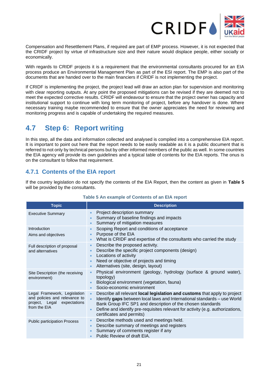

Compensation and Resettlement Plans, if required are part of EMP process. However, it is not expected that the CRIDF project by virtue of infrastructure size and their nature would displace people, either socially or economically.

With regards to CRIDF projects it is a requirement that the environmental consultants procured for an EIA process produce an Environmental Management Plan as part of the ESI report. The EMP is also part of the documents that are handed over to the main financiers if CRIDF is not implementing the project.

If CRIDF is implementing the project, the project lead will draw an action plan for supervision and monitoring with clear reporting outputs. At any point the proposed mitigations can be revised if they are deemed not to meet the expected corrective results. CRIDF will endeavour to ensure that the project owner has capacity and institutional support to continue with long term monitoring of project, before any handover is done. Where necessary training maybe recommended to ensure that the owner appreciates the need for reviewing and monitoring progress and is capable of undertaking the required measures.

# <span id="page-20-0"></span>**4.7 Step 6: Report writing**

In this step, all the data and information collected and analysed is compiled into a comprehensive EIA report. It is important to point out here that the report needs to be easily readable as it is a public document that is referred to not only by technical persons but by other informed members of the public as well. In some countries the EIA agency will provide its own guidelines and a typical table of contents for the EIA reports. The onus is on the consultant to follow that requirement.

## <span id="page-20-1"></span>**4.7.1 Contents of the EIA report**

If the country legislation do not specify the contents of the EIA Report, then the content as given in **Table 5** will be provided by the consultants.

<span id="page-20-2"></span>

| <b>Topic</b>                                                                                                 | <b>Description</b>                                                                                                                                                                                                                                                                                                                                           |
|--------------------------------------------------------------------------------------------------------------|--------------------------------------------------------------------------------------------------------------------------------------------------------------------------------------------------------------------------------------------------------------------------------------------------------------------------------------------------------------|
| <b>Executive Summary</b>                                                                                     | Project description summary<br>Summary of baseline findings and impacts<br>Summary of mitigation measures<br>$\bullet$                                                                                                                                                                                                                                       |
| Introduction<br>Aims and objectives                                                                          | Scoping Report and conditions of acceptance<br>Purpose of the EIA<br>$\bullet$<br>What is CRIDF and expertise of the consultants who carried the study<br>$\bullet$                                                                                                                                                                                          |
| Full description of proposal<br>and alternatives                                                             | Describe the proposed activity.<br>$\bullet$<br>Describe the specific project components (design)<br>$\bullet$<br>Locations of activity<br>Need or objective of projects and timing<br>Alternatives (site, design, layout)<br>$\bullet$                                                                                                                      |
| Site Description (the receiving<br>environment)                                                              | Physical environment (geology, hydrology (surface & ground water),<br>topology)<br>Biological environment (vegetation, fauna)<br>Socio-economic environment<br>$\bullet$                                                                                                                                                                                     |
| Legal Framework, Legislation<br>and policies and relevance to<br>project, Legal expectations<br>from the EIA | Describe all relevant local legislation and customs that apply to project<br>$\bullet$<br>Identify gaps between local laws and International standards - use World<br>$\bullet$<br>Bank Group IFC SP1 and description of the chosen standards<br>Define and identify pre-requisites relevant for activity (e.g. authorizations,<br>certificates and permits) |
| <b>Public participation Process</b>                                                                          | Describe methods used and meetings held.<br>$\bullet$<br>Describe summary of meetings and registers<br>Summary of comments register if any<br>Public Review of draft EIA.                                                                                                                                                                                    |

## **Table 5 An example of Contents of an EIA report**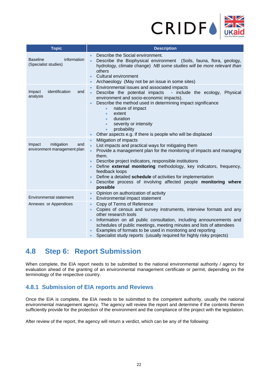

| <b>Topic</b>                                               | <b>Description</b>                                                                                                                                                                                                                                                                                                                                                                                                                                                                                                                        |
|------------------------------------------------------------|-------------------------------------------------------------------------------------------------------------------------------------------------------------------------------------------------------------------------------------------------------------------------------------------------------------------------------------------------------------------------------------------------------------------------------------------------------------------------------------------------------------------------------------------|
| information<br><b>Baseline</b><br>(Specialist studies)     | Describe the Social environment.<br>Describe the Biophysical environment (Soils, fauna, flora, geology,<br>$\bullet$<br>hydrology, climate change) NB some studies will be more relevant than<br>others<br>Cultural environment<br>$\bullet$<br>Archaeology (May not be an issue in some sites)<br>$\bullet$                                                                                                                                                                                                                              |
| identification<br>Impact<br>and<br>analysis                | Environmental issues and associated impacts<br>$\bullet$<br>Describe the potential impacts<br>- include the ecology, Physical<br>$\bullet$<br>environment and socio-economic impacts).<br>Describe the method used in determining impact significance<br>nature of impact<br>$\bullet$<br>extent<br>$\bullet$<br>duration<br>$\bullet$<br>severity or intensity<br>$\bullet$<br>probability<br>$\bullet$<br>Other aspects e.g. If there is people who will be displaced                                                                   |
| mitigation<br>Impact<br>and<br>environment management plan | Mitigation of impacts<br>$\bullet$<br>List impacts and practical ways for mitigating them<br>$\bullet$<br>Provide a management plan for the monitoring of impacts and managing<br>$\bullet$<br>them.<br>Describe project indicators, responsible institutions<br>$\bullet$<br>Define external monitoring methodology, key indicators, frequency,<br>$\bullet$<br>feedback loops<br>Define a detailed schedule of activities for implementation<br>Describe process of involving affected people monitoring where<br>$\bullet$<br>possible |
| Environmental statement                                    | Opinion on authorization of activity<br>Environmental impact statement<br>$\bullet$                                                                                                                                                                                                                                                                                                                                                                                                                                                       |
| Annexes or Appendices                                      | Copy of Terms of Reference<br>Copies of census and survey instruments, interview formats and any<br>other research tools<br>Information on all public consultation, including announcements and<br>schedules of public meetings, meeting minutes and lists of attendees<br>Examples of formats to be used in monitoring and reporting<br>Specialist study reports (usually required for highly risky projects)                                                                                                                            |

## <span id="page-21-0"></span>**4.8 Step 6: Report Submission**

When complete, the EIA report needs to be submitted to the national environmental authority / agency for evaluation ahead of the granting of an environmental management certificate or permit, depending on the terminology of the respective country.

## <span id="page-21-1"></span>**4.8.1 Submission of EIA reports and Reviews**

Once the EIA is complete, the EIA needs to be submitted to the competent authority, usually the national environmental management agency. The agency will review the report and determine if the contents therein sufficiently provide for the protection of the environment and the compliance of the project with the legislation.

After review of the report, the agency will return a verdict, which can be any of the following: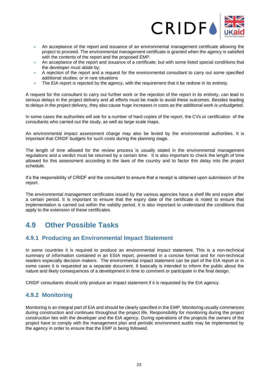

- An acceptance of the report and issuance of an environmental management certificate allowing the project to proceed. The environmental management certificate is granted when the agency is satisfied with the contents of the report and the proposed EMP.
- An acceptance of the report and issuance of a certificate, but with some listed special conditions that the developer must abide by;
- A rejection of the report and a request for the environmental consultant to carry out some specified additional studies; or in rare situations
- The EIA report is rejected by the agency, with the requirement that it be redone in its entirety.

A request for the consultant to carry out further work or the rejection of the report in its entirety, can lead to serious delays in the project delivery and all efforts must be made to avoid these outcomes. Besides leading to delays in the project delivery, they also cause huge increases in costs as the additional work is unbudgeted.

In some cases the authorities will ask for a number of hard copies of the report, the CVs or certification of the consultants who carried out the study, as well as large scale maps.

An environmental impact assessment charge may also be levied by the environmental authorities. It is important that CRIDF budgets for such costs during the planning stage.

The length of time allowed for the review process is usually stated in the environmental management regulations and a verdict must be returned by a certain time. It is also important to check the length of time allowed for this assessment according to the laws of the country and to factor this delay into the project schedule.

It's the responsibility of CRIDF and the consultant to ensure that a receipt is obtained upon submission of the report.

The environmental management certificates issued by the various agencies have a shelf life and expire after a certain period. It is important to ensure that the expiry date of the certificate is noted to ensure that implementation is carried out within the validity period. It is also important to understand the conditions that apply to the extension of these certificates.

# <span id="page-22-0"></span>**4.9 Other Possible Tasks**

## <span id="page-22-1"></span>**4.9.1 Producing an Environmental Impact Statement**

In some countries it is required to produce an environmental impact statement. This is a non-technical summary of information contained in an ESIA report, presented in a concise format and for non-technical readers especially decision makers. The environmental impact statement can be part of the EIA report or in some cases it is requested as a separate document. It basically is intended to inform the public about the nature and likely consequences of a development in time to comment or participate in the final design.

CRIDF consultants should only produce an impact statement if it is requested by the EIA agency.

## <span id="page-22-2"></span>**4.9.2 Monitoring**

Monitoring is an integral part of EIA and should be clearly specified in the EMP. Monitoring usually commences during construction and continues throughout the project life. Responsibility for monitoring during the project construction lies with the developer and the EIA agency. During operations of the projects the owners of the project have to comply with the management plan and periodic environment audits may be implemented by the agency in order to ensure that the EMP is being followed.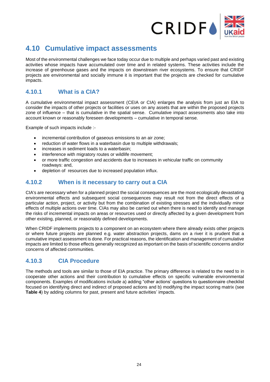

# <span id="page-23-0"></span>**4.10 Cumulative impact assessments**

Most of the environmental challenges we face today occur due to multiple and perhaps varied past and existing activities whose impacts have accumulated over time and in related systems. These activities include the increase of greenhouse gases and the impacts on downstream river ecosystems. To ensure that CRIDF projects are environmental and socially immune it is important that the projects are checked for cumulative impacts.

## <span id="page-23-1"></span>**4.10.1 What is a CIA?**

A cumulative environmental impact assessment (CEIA or CIA) enlarges the analysis from just an EIA to consider the impacts of other projects or facilities or uses on any assets that are within the proposed projects zone of influence – that is cumulative in the spatial sense. Cumulative impact assessments also take into account known or reasonably foreseen developments – cumulative in temporal sense.

Example of such impacts include :-

- incremental contribution of gaseous emissions to an air zone;
- reduction of water flows in a waterbasin due to multiple withdrawals;
- increases in sediment loads to a waterbasin;
- interference with migratory routes or wildlife movement;
- or more traffic congestion and accidents due to increases in vehicular traffic on community roadways: and,
- depletion of resources due to increased population influx.

## <span id="page-23-2"></span>**4.10.2 When is it necessary to carry out a CIA**

CIA's are necessary when for a planned project the social consequences are the most ecologically devastating environmental effects and subsequent social consequences may result not from the direct effects of a particular action, project, or activity but from the combination of existing stresses and the individually minor effects of multiple actions over time. CIAs may also be carried out when there is need to identify and manage the risks of incremental impacts on areas or resources used or directly affected by a given development from other existing, planned, or reasonably defined developments.

When CRIDF implements projects to a component on an ecosystem where there already exists other projects or where future projects are planned e.g. water abstraction projects, dams on a river it is prudent that a cumulative impact assessment is done. For practical reasons, the identification and management of cumulative impacts are limited to those effects generally recognized as important on the basis of scientific concerns and/or concerns of affected communities.

## <span id="page-23-3"></span>**4.10.3 CIA Procedure**

The methods and tools are similar to those of EIA practice. The primary difference is related to the need to in cooperate other actions and their contribution to cumulative effects on specific vulnerable environmental components. Examples of modifications include a) adding "other actions' questions to questionnaire checklist focused on identifying direct and indirect of proposed actions and b) modifying the impact scoring matrix (see **Table 4**) by adding columns for past, present and future activities' impacts.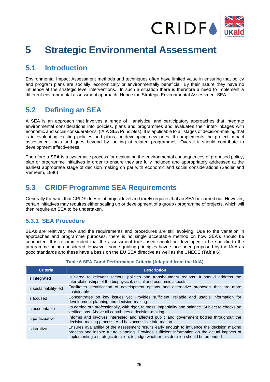

# <span id="page-24-0"></span>**5 Strategic Environmental Assessment**

# <span id="page-24-1"></span>**5.1 Introduction**

Environmental Impact Assessment methods and techniques often have limited value in ensuring that policy and program plans are socially, economically or environmentally beneficial. By their nature they have no influence at the strategic level interventions. In such a situation there is therefore a need to implement a different environmental assessment approach. Hence the Strategic Environmental Assessment SEA.

# <span id="page-24-2"></span>**5.2 Defining an SEA**

A SEA is an approach that involves a range of 'analytical and participatory approaches that integrate environmental considerations into policies, plans and programmes and evaluates their inter-linkages with economic and social considerations' (IAIA SEA Principles). It is applicable to all stages of decision-making that is in evaluating existing policies and plans, or developing new ones. It complements the project impact assessment tools and goes beyond by looking at related programmes. Overall it should contribute to development effectiveness.

Therefore a **SEA** is a systematic process for evaluating the environmental consequences of proposed policy, plan or programme initiatives in order to ensure they are fully included and appropriately addressed at the earliest appropriate stage of decision making on par with economic and social considerations (Sadler and Verheem, 1996)

# <span id="page-24-3"></span>**5.3 CRIDF Programme SEA Requirements**

Generally the work that CRIDF does is at project level and rarely requires that an SEA be carried out. However, certain initiatives may requires either scaling up or development of a group / programme of projects, which will then require an SEA to be undertaken.

## <span id="page-24-4"></span>**5.3.1 SEA Procedure**

SEAs are relatively new and the requirements and procedures are still evolving. Due to the variation in approaches and programme purposes, there is no single acceptable method on how SEA's should be conducted. It is recommended that the assessment tools used should be developed to be specific to the programme being considered. However, some guiding principles have since been proposed by the IAIA as good standards and these have a basis on the EU SEA directive as well as the UNECE (**Table 6**).

<span id="page-24-5"></span>

| <b>Criteria</b>       | <b>Description</b>                                                                                                                                                                                                                                                                   |
|-----------------------|--------------------------------------------------------------------------------------------------------------------------------------------------------------------------------------------------------------------------------------------------------------------------------------|
| Is integrated         | Is tiered to relevant sectors, policies and transboundary regions. It should address the<br>interrelationships of the biophysical, social and economic aspects.                                                                                                                      |
| Is sustainability-led | Facilitates identification of development options and alternative proposals that are more<br>sustainable.                                                                                                                                                                            |
| Is focused            | Concentrates on key issues yet Provides sufficient, reliable and usable information for<br>development planning and decision-making.                                                                                                                                                 |
| Is accountable        | Is carried out professionally, with rigor, fairness, impartiality and balance. Subject to checks an<br>verifications. Above all contributes o decision-making                                                                                                                        |
| Is participative      | Informs and involves interested and affected public and government bodies throughout the<br>decision-making process. And has accessible information                                                                                                                                  |
| Is iterative          | Ensures availability of the assessment results early enough to influence the decision making<br>process and inspire future planning. Provides sufficient information on the actual impacts of<br>implementing a strategic decision, to judge whether this decision should be amended |

## **Table 6 SEA Good Performance Criteria (Adapted from the IAIA)**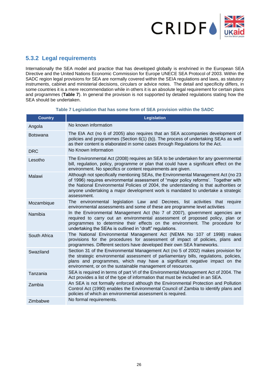

## <span id="page-25-0"></span>**5.3.2 Legal requirements**

Internationally the SEA model and practice that has developed globally is enshrined in the European SEA Directive and the United Nations Economic Commission for Europe UNECE SEA Protocol of 2003. Within the SADC region legal provisions for SEA are normally covered within the SEIA regulations and laws, as statutory instruments, cabinet and ministerial decisions, circulars or advice notes. The detail and specificity differs, in some countries it is a mere recommendation while in others it is an absolute legal requirement for certain plans and programmes (**Table 7**). In general the provision is not supported by detailed regulations stating how the SEA should be undertaken.

<span id="page-25-1"></span>

| <b>Country</b>  | <b>Legislation</b>                                                                                                                                                                                                                                                                                                                                                    |
|-----------------|-----------------------------------------------------------------------------------------------------------------------------------------------------------------------------------------------------------------------------------------------------------------------------------------------------------------------------------------------------------------------|
| Angola          | No known information                                                                                                                                                                                                                                                                                                                                                  |
| <b>Botswana</b> | The EIA Act (no 6 of 2005) also requires that an SEA accompanies development of<br>policies and programmes (Section 6(1) (b)). The process of undertaking SEAs as well<br>as their content is elaborated in some cases through Regulations for the Act.                                                                                                               |
| <b>DRC</b>      | No Known Information                                                                                                                                                                                                                                                                                                                                                  |
| Lesotho         | The Environmental Act (2008) requires an SEA to be undertaken for any governmental<br>bill, regulation, policy, programme or plan that could have a significant effect on the<br>environment. No specifics or content requirements are given.                                                                                                                         |
| Malawi          | Although not specifically mentioning SEAs, the Environmental Management Act (no 23<br>of 1996) requires environmental assessment of "major policy reforms'. Together with<br>the National Environmental Policies of 2004, the understanding is that authorities or<br>anyone undertaking a major development work is mandated to undertake a strategic<br>assessment. |
| Mozambique      | legislation Law and Decrees, list activities that require<br>The environmental<br>environmental assessments and some of these are programme level activities                                                                                                                                                                                                          |
| Namibia         | In the Environmental Management Act (No 7 of 2007), government agencies are<br>required to carry out an environmental assessment of proposed policy, plan or<br>programmes to determine their effects on the environment. The procedure for<br>undertaking the SEAs is outlined in "draft" regulations.                                                               |
| South Africa    | The National Environmental Management Act (NEMA No 107 of 1998) makes<br>provisions for the procedures for assessment of impact of policies, plans and<br>programmes. Different sectors have developed their own SEA frameworks.                                                                                                                                      |
| Swaziland       | Section 31 of the Environmental Management Act (no 5 of 2002) makes provision for<br>the strategic environmental assessment of parliamentary bills, regulations, policies,<br>plans and programmes, which may have a significant negative impact on the<br>environment, or on the sustainable management of resources.                                                |
| Tanzania        | SEA is required in terms of part VI of the Environmental Management Act of 2004. The<br>Act provides a list of the type of information that must be included in an SEA.                                                                                                                                                                                               |
| Zambia          | An SEA is not formally enforced although the Environmental Protection and Pollution<br>Control Act (1990) enables the Environmental Council of Zambia to identify plans and<br>policies of which an environmental assessment is required.                                                                                                                             |
| Zimbabwe        | No formal requirements.                                                                                                                                                                                                                                                                                                                                               |

#### **Table 7 Legislation that has some form of SEA provision within the SADC**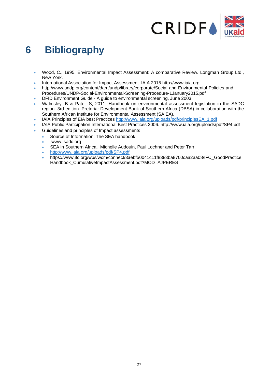

# <span id="page-26-0"></span>**6 Bibliography**

- Wood, C., 1995. Environmental Impact Assessment: A comparative Review. Longman Group Ltd., New York.
- International Association for Impact Assessment IAIA 2015 http://www.iaia.org.
- http://www.undp.org/content/dam/undp/library/corporate/Social-and-Environmental-Policies-and-Procedures/UNDP-Social-Environmental-Screening-Procedure-1January2015.pdf
- DFID Environment Guide A guide to environmental screening, June 2003
- Walmsley, B & Patel, S, 2011. Handbook on environmental assessment legislation in the SADC region. 3rd edition. Pretoria: Development Bank of Southern Africa (DBSA) in collaboration with the Southern African Institute for Environmental Assessment (SAIEA).
- IAIA Principles of EIA best Practices [http://www.iaia.org/uploads/pdf/principlesEA\\_1.pdf](http://www.iaia.org/uploads/pdf/principlesEA_1.pdf)
- IAIA Public Participation International Best Practices 2006. http://www.iaia.org/uploads/pdf/SP4.pdf
- Guidelines and principles of Impact assessments
	- Source of Information: The SEA handbook
		- www. sadc.org
		- SEA in Southern Africa. Michelle Audouin, Paul Lochner and Peter Tarr.
		- <http://www.iaia.org/uploads/pdf/SP4.pdf>
		- https://www.ifc.org/wps/wcm/connect/3aebf50041c11f8383ba8700caa2aa08/IFC\_GoodPractice Handbook\_CumulativeImpactAssessment.pdf?MOD=AJPERES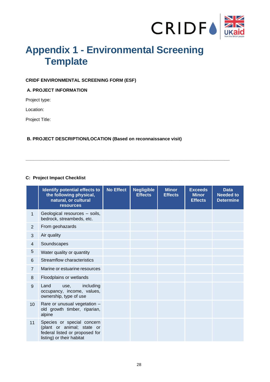

# <span id="page-27-0"></span>**Appendix 1 - Environmental Screening Template**

## **CRIDF ENVIRONMENTAL SCREENING FORM (ESF)**

### **A. PROJECT INFORMATION**

Project type:

Location:

Project Title:

## **B. PROJECT DESCRIPTION/LOCATION (Based on reconnaissance visit)**

**\_\_\_\_\_\_\_\_\_\_\_\_\_\_\_\_\_\_\_\_\_\_\_\_\_\_\_\_\_\_\_\_\_\_\_\_\_\_\_\_\_\_\_\_\_\_\_\_\_\_\_\_\_\_\_\_\_\_\_\_\_\_\_\_\_\_\_\_\_\_\_\_\_\_\_\_\_\_\_\_\_**

## **C: Project Impact Checklist**

|                 | Identify potential effects to<br>the following physical,<br>natural, or cultural<br><b>resources</b>                    | <b>No Effect</b> | <b>Negligible</b><br><b>Effects</b> | <b>Minor</b><br><b>Effects</b> | <b>Exceeds</b><br><b>Minor</b><br><b>Effects</b> | <b>Data</b><br><b>Needed to</b><br><b>Determine</b> |
|-----------------|-------------------------------------------------------------------------------------------------------------------------|------------------|-------------------------------------|--------------------------------|--------------------------------------------------|-----------------------------------------------------|
| 1               | Geological resources - soils,<br>bedrock, streambeds, etc.                                                              |                  |                                     |                                |                                                  |                                                     |
| $\overline{2}$  | From geohazards                                                                                                         |                  |                                     |                                |                                                  |                                                     |
| 3               | Air quality                                                                                                             |                  |                                     |                                |                                                  |                                                     |
| $\overline{4}$  | Soundscapes                                                                                                             |                  |                                     |                                |                                                  |                                                     |
| 5               | Water quality or quantity                                                                                               |                  |                                     |                                |                                                  |                                                     |
| 6               | Streamflow characteristics                                                                                              |                  |                                     |                                |                                                  |                                                     |
| $\overline{7}$  | Marine or estuarine resources                                                                                           |                  |                                     |                                |                                                  |                                                     |
| 8               | Floodplains or wetlands                                                                                                 |                  |                                     |                                |                                                  |                                                     |
| 9               | including<br>Land<br>use,<br>occupancy, income, values,<br>ownership, type of use                                       |                  |                                     |                                |                                                  |                                                     |
| 10 <sup>1</sup> | Rare or unusual vegetation -<br>old growth timber, riparian,<br>alpine                                                  |                  |                                     |                                |                                                  |                                                     |
| 11              | Species or special concern<br>(plant or animal; state or<br>federal listed or proposed for<br>listing) or their habitat |                  |                                     |                                |                                                  |                                                     |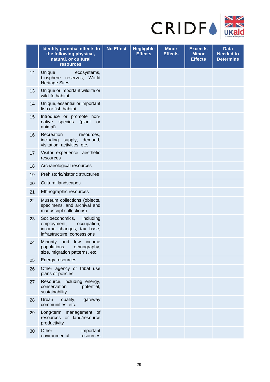

|    | Identify potential effects to<br>the following physical,<br>natural, or cultural<br><b>resources</b>                   | <b>No Effect</b> | <b>Negligible</b><br><b>Effects</b> | <b>Minor</b><br><b>Effects</b> | <b>Exceeds</b><br><b>Minor</b><br><b>Effects</b> | <b>Data</b><br><b>Needed to</b><br><b>Determine</b> |
|----|------------------------------------------------------------------------------------------------------------------------|------------------|-------------------------------------|--------------------------------|--------------------------------------------------|-----------------------------------------------------|
| 12 | Unique<br>ecosystems,<br>biosphere reserves, World<br><b>Heritage Sites</b>                                            |                  |                                     |                                |                                                  |                                                     |
| 13 | Unique or important wildlife or<br>wildlife habitat                                                                    |                  |                                     |                                |                                                  |                                                     |
| 14 | Unique, essential or important<br>fish or fish habitat                                                                 |                  |                                     |                                |                                                  |                                                     |
| 15 | Introduce or promote non-<br>native species<br>(plant<br>or<br>animal)                                                 |                  |                                     |                                |                                                  |                                                     |
| 16 | Recreation<br>resources,<br>including supply, demand,<br>visitation, activities, etc.                                  |                  |                                     |                                |                                                  |                                                     |
| 17 | Visitor experience, aesthetic<br>resources                                                                             |                  |                                     |                                |                                                  |                                                     |
| 18 | Archaeological resources                                                                                               |                  |                                     |                                |                                                  |                                                     |
| 19 | Prehistoric/historic structures                                                                                        |                  |                                     |                                |                                                  |                                                     |
| 20 | <b>Cultural landscapes</b>                                                                                             |                  |                                     |                                |                                                  |                                                     |
| 21 | Ethnographic resources                                                                                                 |                  |                                     |                                |                                                  |                                                     |
| 22 | Museum collections (objects,<br>specimens, and archival and<br>manuscript collections)                                 |                  |                                     |                                |                                                  |                                                     |
| 23 | Socioeconomics,<br>including<br>employment,<br>occupation,<br>income changes, tax base,<br>infrastructure, concessions |                  |                                     |                                |                                                  |                                                     |
| 24 | Minority and<br>low<br>income<br>ethnography,<br>populations,<br>size, migration patterns, etc.                        |                  |                                     |                                |                                                  |                                                     |
| 25 | Energy resources                                                                                                       |                  |                                     |                                |                                                  |                                                     |
| 26 | Other agency or tribal use<br>plans or policies                                                                        |                  |                                     |                                |                                                  |                                                     |
| 27 | Resource, including energy,<br>conservation<br>potential,<br>sustainability                                            |                  |                                     |                                |                                                  |                                                     |
| 28 | Urban<br>quality,<br>gateway<br>communities, etc.                                                                      |                  |                                     |                                |                                                  |                                                     |
| 29 | Long-term management of<br>resources or land/resource<br>productivity                                                  |                  |                                     |                                |                                                  |                                                     |
| 30 | Other<br>important<br>environmental<br>resources                                                                       |                  |                                     |                                |                                                  |                                                     |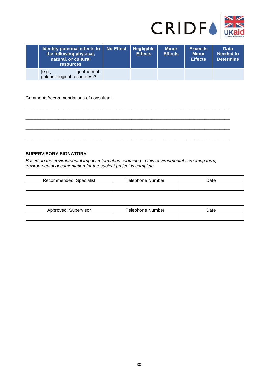

| <b>Identify potential effects to   No Effect</b><br>the following physical,<br>natural, or cultural<br><b>resources</b> | <b>Negligible</b><br><b>Effects</b> | <b>Minor</b><br><b>Effects</b> | <b>Exceeds</b><br><b>Minor</b><br><b>Effects</b> | <b>Data</b><br><b>Needed to</b><br><b>Determine</b> |
|-------------------------------------------------------------------------------------------------------------------------|-------------------------------------|--------------------------------|--------------------------------------------------|-----------------------------------------------------|
| geothermal,<br>(e.g.,<br>paleontological resources)?                                                                    |                                     |                                |                                                  |                                                     |

\_\_\_\_\_\_\_\_\_\_\_\_\_\_\_\_\_\_\_\_\_\_\_\_\_\_\_\_\_\_\_\_\_\_\_\_\_\_\_\_\_\_\_\_\_\_\_\_\_\_\_\_\_\_\_\_\_\_\_\_\_\_\_\_\_\_\_\_\_\_\_\_\_\_\_\_\_\_\_\_\_

\_\_\_\_\_\_\_\_\_\_\_\_\_\_\_\_\_\_\_\_\_\_\_\_\_\_\_\_\_\_\_\_\_\_\_\_\_\_\_\_\_\_\_\_\_\_\_\_\_\_\_\_\_\_\_\_\_\_\_\_\_\_\_\_\_\_\_\_\_\_\_\_\_\_\_\_\_\_\_\_\_

\_\_\_\_\_\_\_\_\_\_\_\_\_\_\_\_\_\_\_\_\_\_\_\_\_\_\_\_\_\_\_\_\_\_\_\_\_\_\_\_\_\_\_\_\_\_\_\_\_\_\_\_\_\_\_\_\_\_\_\_\_\_\_\_\_\_\_\_\_\_\_\_\_\_\_\_\_\_\_\_\_

\_\_\_\_\_\_\_\_\_\_\_\_\_\_\_\_\_\_\_\_\_\_\_\_\_\_\_\_\_\_\_\_\_\_\_\_\_\_\_\_\_\_\_\_\_\_\_\_\_\_\_\_\_\_\_\_\_\_\_\_\_\_\_\_\_\_\_\_\_\_\_\_\_\_\_\_\_\_\_\_\_

#### Comments/recommendations of consultant.

### **SUPERVISORY SIGNATORY**

*Based on the environmental impact information contained in this environmental screening form, environmental documentation for the subject project is complete.* 

| Recommended: Specialist | Telephone Number | Date |
|-------------------------|------------------|------|
|                         |                  |      |

| oproved:<br>Supervisor<br>ADDN | Number<br>elephone | Jate |
|--------------------------------|--------------------|------|
|                                |                    |      |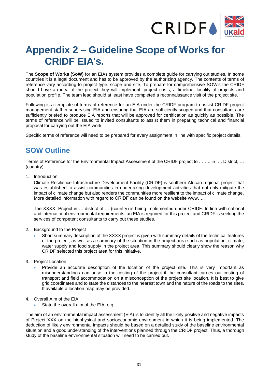

# <span id="page-30-0"></span>**Appendix 2 – Guideline Scope of Works for CRIDF EIA's.**

The **Scope of Works (SoW)** for an EIAs system provides a complete guide for carrying out studies. In some countries it is a legal document and has to be approved by the authorizing agency. The contents of terms of reference vary according to project type, scope and site. To prepare for comprehensive SOW's the CRIDF should have an idea of the project they will implement, project costs, a timeline, locality of projects and population profile. The team lead should at least have completed a reconnaissance visit of the project site.

Following is a template of terms of reference for an EIA under the CRIDF program to assist CRIDF project management staff in supervising EIA and ensuring that EIA are sufficiently scoped and that consultants are sufficiently briefed to produce EIA reports that will be approved for certification as quickly as possible. The terms of reference will be issued to invited consultants to assist them in preparing technical and financial proposal for carrying out the EIA work.

Specific terms of reference will need to be prepared for every assignment in line with specific project details.

## <span id="page-30-1"></span>**SOW Outline**

Terms of Reference for the Environmental Impact Assessment of the CRIDF project to …….. in …. District, … (country).

#### 1. Introduction

Climate Resilience Infrastructure Development Facility (CRIDF) is southern African regional project that was established to assist communities in undertaking development activities that not only mitigate the impact of climate change but also renders the communities more resilient to the impact of climate change. More detailed information with regard to CRIDF can be found on the website www.....

The XXXX Project in … district of … (country) is being implemented under CRIDF. In line with national and international environmental requirements, an EIA is required for this project and CRIDF is seeking the services of competent consultants to carry out these studies.

- 2. Background to the Project
	- Short summary description of the XXXX project is given with summary details of the technical features of the project, as well as a summary of the situation in the project area such as population, climate, water supply and food supply in the project area. This summary should clearly show the reason why CRIDF selected this project area for this initiative.
- 3. Project Location
	- Provide an accurate description of the location of the project site. This is very important as misunderstandings can arise in the costing of the project if the consultant carries out costing of transport and field accommodation on a misconception of the project site location. It is best to give grid coordinates and to state the distances to the nearest town and the nature of the roads to the sites. If available a location map may be provided.
- 4. Overall Aim of the EIA
	- State the overall aim of the EIA. e.g.

The aim of an environmental impact assessment (EIA) is to identify all the likely positive and negative impacts of Project XXX on the biophysical and socioeconomic environment in which it is being implemented. The deduction of likely environmental impacts should be based on a detailed study of the baseline environmental situation and a good understanding of the interventions planned through the CRIDF project. Thus, a thorough study of the baseline environmental situation will need to be carried out.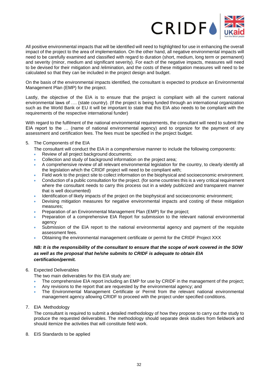

All positive environmental impacts that will be identified will need to highlighted for use in enhancing the overall impact of the project to the area of implementation. On the other hand, all negative environmental impacts will need to be carefully examined and classified with regard to duration (short, medium, long term or permanent) and severity (minor, medium and significant severity). For each of the negative impacts, measures will need to be devised for their mitigation and /elimination, and the costs of these mitigation measures will need to be calculated so that they can be included in the project design and budget.

On the basis of the environmental impacts identified, the consultant is expected to produce an Environmental Management Plan (EMP) for the project.

Lastly, the objective of the EIA is to ensure that the project is compliant with all the current national environmental laws of …. (state country). (If the project is being funded through an international organization such as the World Bank or EU it will be important to state that this EIA also needs to be compliant with the requirements of the respective international funder)

With regard to the fulfilment of the national environmental requirements, the consultant will need to submit the EIA report to the … (name of national environmental agency) and to organize for the payment of any assessment and certification fees. The fees must be specified in the project budget.

- 5. The Components of the EIA
	- The consultant will conduct the EIA in a comprehensive manner to include the following components:
	- Review of all project background documents;
	- Collection and study of background information on the project area;
	- A comprehensive review of all relevant environmental legislation for the country, to clearly identify all the legislation which the CRIDF project will need to be compliant with;
	- Field work to the project site to collect information on the biophysical and socioeconomic environment.
	- Conduction of a public consultation for the project. (for some countries this is a very critical requirement where the consultant needs to carry this process out in a widely publicized and transparent manner that is well documented)
	- Identification of likely impacts of the project on the biophysical and socioeconomic environment;
	- Devising mitigation measures for negative environmental impacts and costing of these mitigation measures;
	- Preparation of an Environmental Management Plan (EMP) for the project;
	- Preparation of a comprehensive EIA Report for submission to the relevant national environmental agency
	- Submission of the EIA report to the national environmental agency and payment of the requisite assessment fees.
	- Obtaining the environmental management certificate or permit for the CRIDF Project XXX

### *NB: It is the responsibility of the consultant to ensure that the scope of work covered in the SOW as well as the proposal that he/she submits to CRIDF is adequate to obtain EIA certification/permit.*

6. Expected Deliverables

The two main deliverables for this EIA study are:

- The comprehensive EIA report including an EMP for use by CRIDF in the management of the project;
- Any revisions to the report that are requested by the environmental agency; and
- The Environmental Management Certificate or Permit from the relevant national environmental management agency allowing CRIDF to proceed with the project under specified conditions.
- 7. EIA Methodology

The consultant is required to submit a detailed methodology of how they propose to carry out the study to produce the requested deliverables. The methodology should separate desk studies from fieldwork and should itemize the activities that will constitute field work.

8. EIS Standards to be applied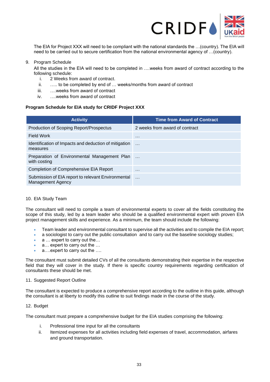

The EIA for Project XXX will need to be compliant with the national standards the …(country). The EIA will need to be carried out to secure certification from the national environmental agency of …(country).

### 9. Program Schedule

All the studies in the EIA will need to be completed in ….weeks from award of contract according to the following schedule:

- i. 2 Weeks from award of contract.
- ii. ….. to be completed by end of … weeks/months from award of contract
- iii. ….weeks from award of contract
- iv. ….weeks from award of contract

### **Program Schedule for EIA study for CRIDF Project XXX**

| <b>Activity</b>                                                                | <b>Time from Award of Contract</b> |
|--------------------------------------------------------------------------------|------------------------------------|
| Production of Scoping Report/Prospectus                                        | 2 weeks from award of contract     |
| Field Work                                                                     | $\cdots$                           |
| Identification of Impacts and deduction of mitigation<br>measures              | $\cdots$                           |
| Preparation of Environmental Management Plan<br>with costing                   |                                    |
| <b>Completion of Comprehensive EIA Report</b>                                  | $\cdots$                           |
| Submission of EIA report to relevant Environmental<br><b>Management Agency</b> | $\cdots$                           |

#### 10. EIA Study Team

The consultant will need to compile a team of environmental experts to cover all the fields constituting the scope of this study, led by a team leader who should be a qualified environmental expert with proven EIA project management skills and experience. As a minimum, the team should include the following:

- Team leader and environmental consultant to supervise all the activities and to compile the EIA report;
- a sociologist to carry out the public consultation and to carry out the baseline sociology studies;
- a ... expert to carry out the...
- a... expert to carry out the ...
- a....expert to carry out the ....

The consultant must submit detailed CVs of all the consultants demonstrating their expertise in the respective field that they will cover in the study. If there is specific country requirements regarding certification of consultants these should be met.

#### 11. Suggested Report Outline

The consultant is expected to produce a comprehensive report according to the outline in this guide, although the consultant is at liberty to modify this outline to suit findings made in the course of the study.

#### 12. Budget

The consultant must prepare a comprehensive budget for the EIA studies comprising the following:

- i. Professional time input for all the consultants
- ii. Itemized expenses for all activities including field expenses of travel, accommodation, airfares and ground transportation.